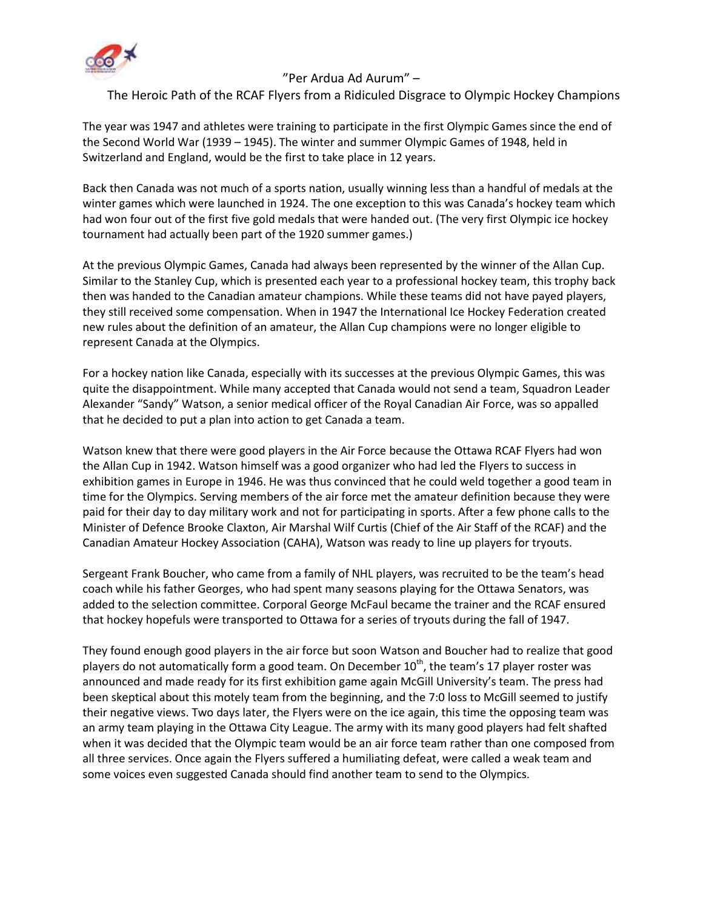

## "Per Ardua Ad Aurum" –

## The Heroic Path of the RCAF Flyers from a Ridiculed Disgrace to Olympic Hockey Champions

The year was 1947 and athletes were training to participate in the first Olympic Games since the end of the Second World War (1939 – 1945). The winter and summer Olympic Games of 1948, held in Switzerland and England, would be the first to take place in 12 years.

Back then Canada was not much of a sports nation, usually winning less than a handful of medals at the winter games which were launched in 1924. The one exception to this was Canada's hockey team which had won four out of the first five gold medals that were handed out. (The very first Olympic ice hockey tournament had actually been part of the 1920 summer games.)

At the previous Olympic Games, Canada had always been represented by the winner of the Allan Cup. Similar to the Stanley Cup, which is presented each year to a professional hockey team, this trophy back then was handed to the Canadian amateur champions. While these teams did not have payed players, they still received some compensation. When in 1947 the International Ice Hockey Federation created new rules about the definition of an amateur, the Allan Cup champions were no longer eligible to represent Canada at the Olympics.

For a hockey nation like Canada, especially with its successes at the previous Olympic Games, this was quite the disappointment. While many accepted that Canada would not send a team, Squadron Leader Alexander "Sandy" Watson, a senior medical officer of the Royal Canadian Air Force, was so appalled that he decided to put a plan into action to get Canada a team.

Watson knew that there were good players in the Air Force because the Ottawa RCAF Flyers had won the Allan Cup in 1942. Watson himself was a good organizer who had led the Flyers to success in exhibition games in Europe in 1946. He was thus convinced that he could weld together a good team in time for the Olympics. Serving members of the air force met the amateur definition because they were paid for their day to day military work and not for participating in sports. After a few phone calls to the Minister of Defence Brooke Claxton, Air Marshal Wilf Curtis (Chief of the Air Staff of the RCAF) and the Canadian Amateur Hockey Association (CAHA), Watson was ready to line up players for tryouts.

Sergeant Frank Boucher, who came from a family of NHL players, was recruited to be the team's head coach while his father Georges, who had spent many seasons playing for the Ottawa Senators, was added to the selection committee. Corporal George McFaul became the trainer and the RCAF ensured that hockey hopefuls were transported to Ottawa for a series of tryouts during the fall of 1947.

They found enough good players in the air force but soon Watson and Boucher had to realize that good players do not automatically form a good team. On December  $10^{th}$ , the team's 17 player roster was announced and made ready for its first exhibition game again McGill University's team. The press had been skeptical about this motely team from the beginning, and the 7:0 loss to McGill seemed to justify their negative views. Two days later, the Flyers were on the ice again, this time the opposing team was an army team playing in the Ottawa City League. The army with its many good players had felt shafted when it was decided that the Olympic team would be an air force team rather than one composed from all three services. Once again the Flyers suffered a humiliating defeat, were called a weak team and some voices even suggested Canada should find another team to send to the Olympics.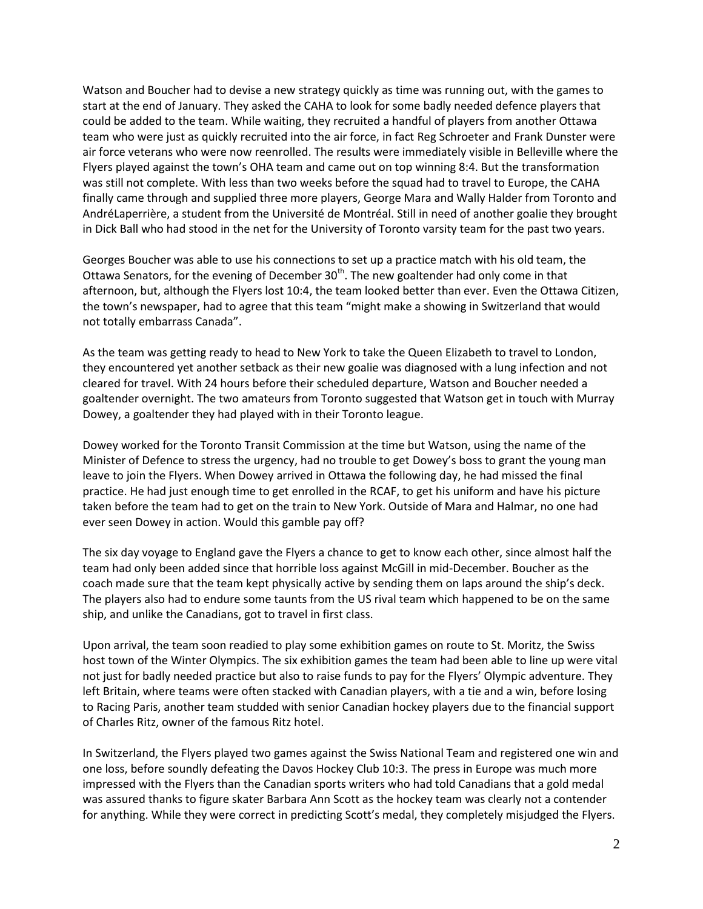Watson and Boucher had to devise a new strategy quickly as time was running out, with the games to start at the end of January. They asked the CAHA to look for some badly needed defence players that could be added to the team. While waiting, they recruited a handful of players from another Ottawa team who were just as quickly recruited into the air force, in fact Reg Schroeter and Frank Dunster were air force veterans who were now reenrolled. The results were immediately visible in Belleville where the Flyers played against the town's OHA team and came out on top winning 8:4. But the transformation was still not complete. With less than two weeks before the squad had to travel to Europe, the CAHA finally came through and supplied three more players, George Mara and Wally Halder from Toronto and AndréLaperrière, a student from the Université de Montréal. Still in need of another goalie they brought in Dick Ball who had stood in the net for the University of Toronto varsity team for the past two years.

Georges Boucher was able to use his connections to set up a practice match with his old team, the Ottawa Senators, for the evening of December  $30<sup>th</sup>$ . The new goaltender had only come in that afternoon, but, although the Flyers lost 10:4, the team looked better than ever. Even the Ottawa Citizen, the town's newspaper, had to agree that this team "might make a showing in Switzerland that would not totally embarrass Canada".

As the team was getting ready to head to New York to take the Queen Elizabeth to travel to London, they encountered yet another setback as their new goalie was diagnosed with a lung infection and not cleared for travel. With 24 hours before their scheduled departure, Watson and Boucher needed a goaltender overnight. The two amateurs from Toronto suggested that Watson get in touch with Murray Dowey, a goaltender they had played with in their Toronto league.

Dowey worked for the Toronto Transit Commission at the time but Watson, using the name of the Minister of Defence to stress the urgency, had no trouble to get Dowey's boss to grant the young man leave to join the Flyers. When Dowey arrived in Ottawa the following day, he had missed the final practice. He had just enough time to get enrolled in the RCAF, to get his uniform and have his picture taken before the team had to get on the train to New York. Outside of Mara and Halmar, no one had ever seen Dowey in action. Would this gamble pay off?

The six day voyage to England gave the Flyers a chance to get to know each other, since almost half the team had only been added since that horrible loss against McGill in mid-December. Boucher as the coach made sure that the team kept physically active by sending them on laps around the ship's deck. The players also had to endure some taunts from the US rival team which happened to be on the same ship, and unlike the Canadians, got to travel in first class.

Upon arrival, the team soon readied to play some exhibition games on route to St. Moritz, the Swiss host town of the Winter Olympics. The six exhibition games the team had been able to line up were vital not just for badly needed practice but also to raise funds to pay for the Flyers' Olympic adventure. They left Britain, where teams were often stacked with Canadian players, with a tie and a win, before losing to Racing Paris, another team studded with senior Canadian hockey players due to the financial support of Charles Ritz, owner of the famous Ritz hotel.

In Switzerland, the Flyers played two games against the Swiss National Team and registered one win and one loss, before soundly defeating the Davos Hockey Club 10:3. The press in Europe was much more impressed with the Flyers than the Canadian sports writers who had told Canadians that a gold medal was assured thanks to figure skater Barbara Ann Scott as the hockey team was clearly not a contender for anything. While they were correct in predicting Scott's medal, they completely misjudged the Flyers.